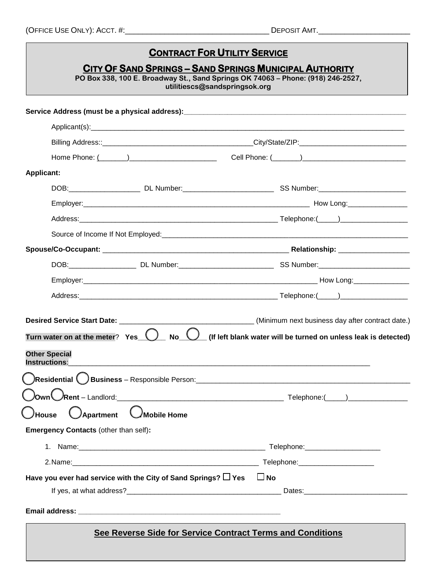(OFFICE USE ONLY): ACCT. #:\_\_\_\_\_\_\_\_\_\_\_\_\_\_\_\_\_\_\_\_\_\_\_\_\_\_\_\_\_\_\_\_\_ DEPOSIT AMT.\_\_\_\_\_\_\_\_\_\_\_\_\_\_\_\_\_\_\_\_\_

<u> 1989 - Johann Barbara, martxa amerikan per</u>

| <b>CONTRACT FOR UTILITY SERVICE</b><br>CITY OF SAND SPRINGS - SAND SPRINGS MUNICIPAL AUTHORITY<br>PO Box 338, 100 E. Broadway St., Sand Springs OK 74063 - Phone: (918) 246-2527,<br>utilitiescs@sandspringsok.org |                                                                                                                                                                                                                                |
|--------------------------------------------------------------------------------------------------------------------------------------------------------------------------------------------------------------------|--------------------------------------------------------------------------------------------------------------------------------------------------------------------------------------------------------------------------------|
|                                                                                                                                                                                                                    |                                                                                                                                                                                                                                |
|                                                                                                                                                                                                                    |                                                                                                                                                                                                                                |
|                                                                                                                                                                                                                    |                                                                                                                                                                                                                                |
|                                                                                                                                                                                                                    |                                                                                                                                                                                                                                |
| <b>Applicant:</b>                                                                                                                                                                                                  |                                                                                                                                                                                                                                |
|                                                                                                                                                                                                                    |                                                                                                                                                                                                                                |
|                                                                                                                                                                                                                    |                                                                                                                                                                                                                                |
|                                                                                                                                                                                                                    |                                                                                                                                                                                                                                |
|                                                                                                                                                                                                                    |                                                                                                                                                                                                                                |
|                                                                                                                                                                                                                    |                                                                                                                                                                                                                                |
|                                                                                                                                                                                                                    |                                                                                                                                                                                                                                |
|                                                                                                                                                                                                                    |                                                                                                                                                                                                                                |
|                                                                                                                                                                                                                    |                                                                                                                                                                                                                                |
| Turn water on at the meter? Yes $\bigcirc$<br><b>Other Special</b><br><b>Instructions:</b>                                                                                                                         | No $\bigcup$ (If left blank water will be turned on unless leak is detected)                                                                                                                                                   |
|                                                                                                                                                                                                                    |                                                                                                                                                                                                                                |
| <b>O</b> Apartment CMobile Home<br>(_ <i>)</i> House<br>Emergency Contacts (other than self):                                                                                                                      |                                                                                                                                                                                                                                |
|                                                                                                                                                                                                                    |                                                                                                                                                                                                                                |
|                                                                                                                                                                                                                    | 2.Name: 2.name: 2.name: 2.name: 2.name: 2.name: 2.name: 2.name: 2.name: 2.name: 2.name: 2.name: 2.name: 2.name: 2.name: 2.name: 2.name: 2.name: 2.name: 2.name: 2.name: 2.name: 2.name: 2.name: 2.name: 2.name: 2.name: 2.name |
| Have you ever had service with the City of Sand Springs? $\Box$ Yes                                                                                                                                                | $\Box$ No                                                                                                                                                                                                                      |
|                                                                                                                                                                                                                    |                                                                                                                                                                                                                                |
|                                                                                                                                                                                                                    |                                                                                                                                                                                                                                |
|                                                                                                                                                                                                                    | See Reverse Side for Service Contract Terms and Conditions                                                                                                                                                                     |